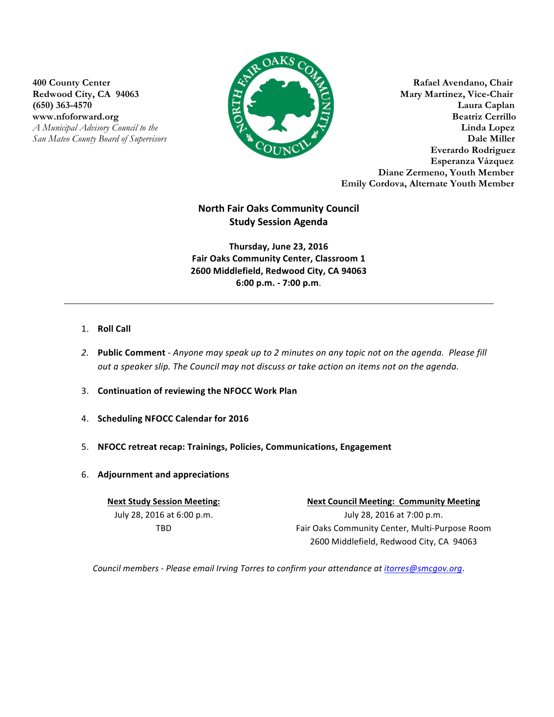

**400 County Center Rafael Avendano, Chair** Redwood City, CA 94063 **Martinez, Vice-Chair** Martinez, Vice-Chair **(650) 363-4570 Laura Caplan** www.nfoforward.org **Beatriz Cerrillo** *A Municipal Advisory Council to the* **Linda Lopez** *San Mateo County Board of Supervisors* **Dale Miller Everardo Rodriguez Esperanza Vázquez Diane Zermeno, Youth Member Emily Cordova, Alternate Youth Member**

## **North Fair Oaks Community Council Study Session Agenda**

**Thursday, June 23, 2016 Fair Oaks Community Center, Classroom 1 2600 Middlefield, Redwood City, CA 94063 6:00 p.m. - 7:00 p.m**.

- 1. **Roll Call**
- 2. Public Comment Anyone may speak up to 2 minutes on any topic not on the agenda. Please fill *out a speaker slip. The Council may not discuss or take action on items not on the agenda.*
- 3. **Continuation of reviewing the NFOCC Work Plan**
- 4. **Scheduling NFOCC Calendar for 2016**
- 5. NFOCC retreat recap: Trainings, Policies, Communications, Engagement
- 6. **Adjournment and appreciations**

**Next Study Session Meeting:** July 28, 2016 at 6:00 p.m. TBD

**Next Council Meeting: Community Meeting** July 28, 2016 at 7:00 p.m. Fair Oaks Community Center, Multi-Purpose Room 2600 Middlefield, Redwood City, CA 94063

Council members - Please email Irving Torres to confirm your attendance at itorres@smcgov.org.